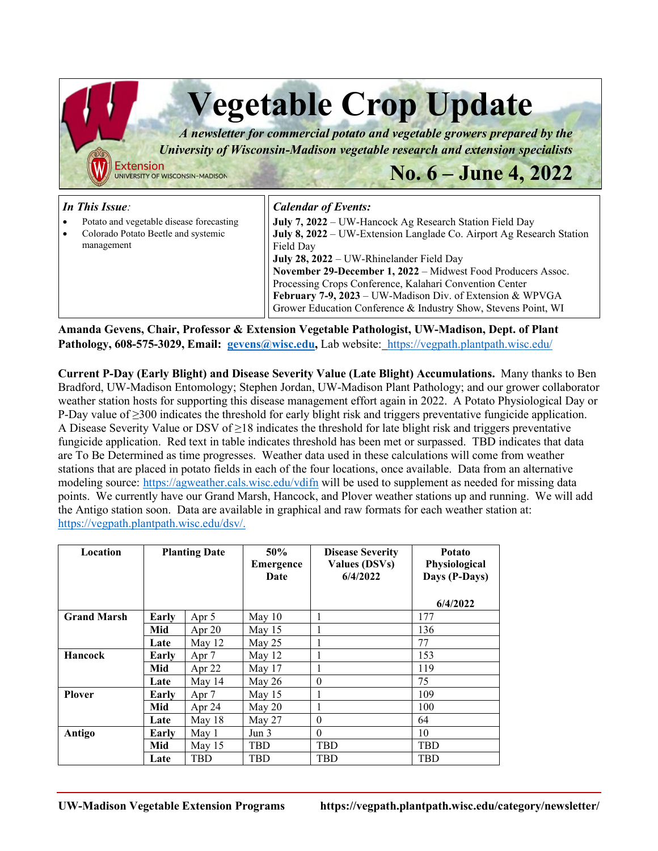| <b>Extension</b><br>UNIVERSITY OF WISCONSIN-MADISON                                                             | <b>Vegetable Crop Update</b><br>A newsletter for commercial potato and vegetable growers prepared by the<br>University of Wisconsin-Madison vegetable research and extension specialists<br>No. $6 -$ June 4, 2022                                                                                                                                                                                                                                                               |  |  |  |  |  |  |
|-----------------------------------------------------------------------------------------------------------------|----------------------------------------------------------------------------------------------------------------------------------------------------------------------------------------------------------------------------------------------------------------------------------------------------------------------------------------------------------------------------------------------------------------------------------------------------------------------------------|--|--|--|--|--|--|
| In This Issue:<br>Potato and vegetable disease forecasting<br>Colorado Potato Beetle and systemic<br>management | <b>Calendar of Events:</b><br>July 7, 2022 – UW-Hancock Ag Research Station Field Day<br>July 8, 2022 – UW-Extension Langlade Co. Airport Ag Research Station<br>Field Day<br>July 28, 2022 – UW-Rhinelander Field Day<br>November 29-December 1, 2022 - Midwest Food Producers Assoc.<br>Processing Crops Conference, Kalahari Convention Center<br>February 7-9, 2023 – UW-Madison Div. of Extension & WPVGA<br>Grower Education Conference & Industry Show, Stevens Point, WI |  |  |  |  |  |  |

**Amanda Gevens, Chair, Professor & Extension Vegetable Pathologist, UW-Madison, Dept. of Plant Pathology, 608-575-3029, Email: [gevens@wisc.edu,](mailto:gevens@wisc.edu)** Lab website: <https://vegpath.plantpath.wisc.edu/>

**Current P-Day (Early Blight) and Disease Severity Value (Late Blight) Accumulations.** Many thanks to Ben Bradford, UW-Madison Entomology; Stephen Jordan, UW-Madison Plant Pathology; and our grower collaborator weather station hosts for supporting this disease management effort again in 2022. A Potato Physiological Day or P-Day value of ≥300 indicates the threshold for early blight risk and triggers preventative fungicide application. A Disease Severity Value or DSV of ≥18 indicates the threshold for late blight risk and triggers preventative fungicide application. Red text in table indicates threshold has been met or surpassed. TBD indicates that data are To Be Determined as time progresses. Weather data used in these calculations will come from weather stations that are placed in potato fields in each of the four locations, once available. Data from an alternative modeling source: <https://agweather.cals.wisc.edu/vdifn> will be used to supplement as needed for missing data points. We currently have our Grand Marsh, Hancock, and Plover weather stations up and running. We will add the Antigo station soon. Data are available in graphical and raw formats for each weather station at: [https://vegpath.plantpath.wisc.edu/dsv/.](https://vegpath.plantpath.wisc.edu/dsv/)

| Location           | <b>Planting Date</b> |            | 50%<br>Emergence<br>Date | <b>Disease Severity</b><br><b>Values (DSVs)</b><br>6/4/2022 | <b>Potato</b><br>Physiological<br>Days (P-Days)<br>6/4/2022 |
|--------------------|----------------------|------------|--------------------------|-------------------------------------------------------------|-------------------------------------------------------------|
| <b>Grand Marsh</b> | Early                | Apr 5      | May $10$                 |                                                             | 177                                                         |
|                    | Mid                  | Apr $20$   | May $15$                 |                                                             | 136                                                         |
|                    | Late                 | May $12$   | May 25                   |                                                             | 77                                                          |
| <b>Hancock</b>     | Earlv                | Apr 7      | May $12$                 |                                                             | 153                                                         |
|                    | Mid                  | Apr $22$   | May $17$                 |                                                             | 119                                                         |
|                    | Late                 | May $14$   | May $26$                 | $\theta$                                                    | 75                                                          |
| <b>Plover</b>      | Earlv                | Apr 7      | May $15$                 |                                                             | 109                                                         |
|                    | Mid                  | Apr 24     | May 20                   |                                                             | 100                                                         |
|                    | Late                 | May 18     | May 27                   | $\theta$                                                    | 64                                                          |
| Antigo             | Earlv                | May 1      | Jun 3                    | $\theta$                                                    | 10                                                          |
|                    | Mid                  | May $15$   | <b>TBD</b>               | <b>TBD</b>                                                  | <b>TBD</b>                                                  |
|                    | Late                 | <b>TBD</b> | TBD                      | <b>TBD</b>                                                  | TBD                                                         |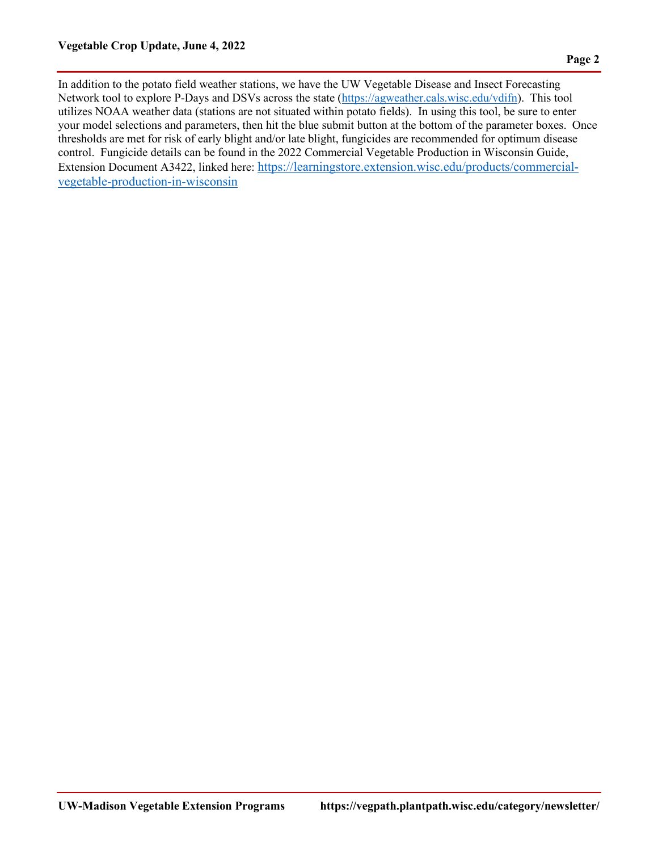In addition to the potato field weather stations, we have the UW Vegetable Disease and Insect Forecasting Network tool to explore P-Days and DSVs across the state [\(https://agweather.cals.wisc.edu/vdifn\)](https://agweather.cals.wisc.edu/vdifn). This tool utilizes NOAA weather data (stations are not situated within potato fields). In using this tool, be sure to enter your model selections and parameters, then hit the blue submit button at the bottom of the parameter boxes. Once thresholds are met for risk of early blight and/or late blight, fungicides are recommended for optimum disease control. Fungicide details can be found in the 2022 Commercial Vegetable Production in Wisconsin Guide, Extension Document A3422, linked here: [https://learningstore.extension.wisc.edu/products/commercial](https://learningstore.extension.wisc.edu/products/commercial-vegetable-production-in-wisconsin)[vegetable-production-in-wisconsin](https://learningstore.extension.wisc.edu/products/commercial-vegetable-production-in-wisconsin)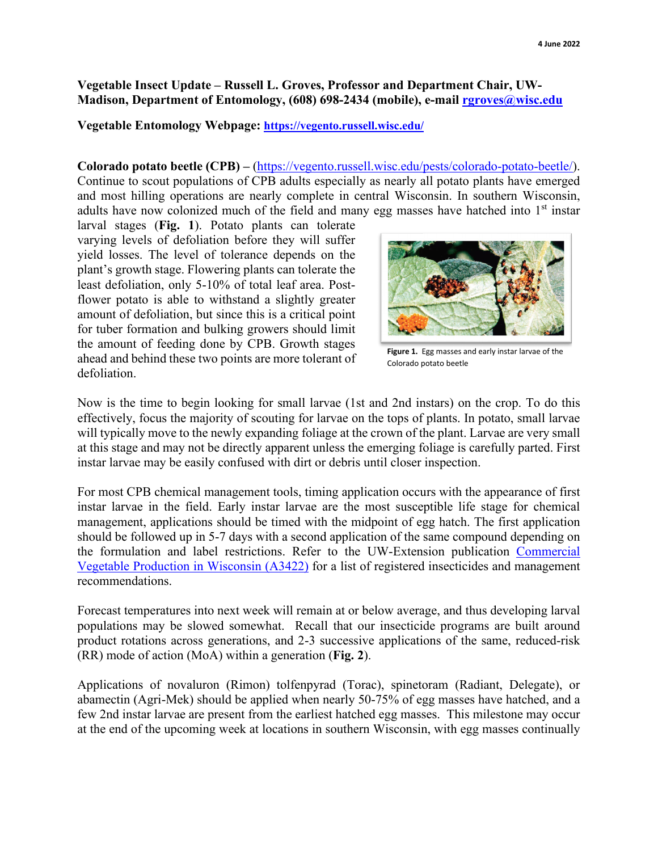### **Vegetable Insect Update – Russell L. Groves, Professor and Department Chair, UW-Madison, Department of Entomology, (608) 698-2434 (mobile), e-mail [rgroves@wisc.edu](mailto:rgroves@wisc.edu)**

#### **Vegetable Entomology Webpage:<https://vegento.russell.wisc.edu/>**

**Colorado potato beetle (CPB) –** [\(https://vegento.russell.wisc.edu/pests/colorado-potato-beetle/\)](https://vegento.russell.wisc.edu/pests/colorado-potato-beetle/). Continue to scout populations of CPB adults especially as nearly all potato plants have emerged and most hilling operations are nearly complete in central Wisconsin. In southern Wisconsin, adults have now colonized much of the field and many egg masses have hatched into  $1<sup>st</sup>$  instar

larval stages (**Fig. 1**). Potato plants can tolerate varying levels of defoliation before they will suffer yield losses. The level of tolerance depends on the plant's growth stage. Flowering plants can tolerate the least defoliation, only 5-10% of total leaf area. Postflower potato is able to withstand a slightly greater amount of defoliation, but since this is a critical point for tuber formation and bulking growers should limit the amount of feeding done by CPB. Growth stages ahead and behind these two points are more tolerant of defoliation.



**Figure 1.** Egg masses and early instar larvae of the Colorado potato beetle

Now is the time to begin looking for small larvae (1st and 2nd instars) on the crop. To do this effectively, focus the majority of scouting for larvae on the tops of plants. In potato, small larvae will typically move to the newly expanding foliage at the crown of the plant. Larvae are very small at this stage and may not be directly apparent unless the emerging foliage is carefully parted. First instar larvae may be easily confused with dirt or debris until closer inspection.

For most CPB chemical management tools, timing application occurs with the appearance of first instar larvae in the field. Early instar larvae are the most susceptible life stage for chemical management, applications should be timed with the midpoint of egg hatch. The first application should be followed up in 5-7 days with a second application of the same compound depending on the formulation and label restrictions. Refer to the UW-Extension publication [Commercial](https://learningstore.extension.wisc.edu/products/commercial-vegetable-production-in-wisconsin)  [Vegetable Production in Wisconsin \(A3422\)](https://learningstore.extension.wisc.edu/products/commercial-vegetable-production-in-wisconsin) for a list of registered insecticides and management recommendations.

Forecast temperatures into next week will remain at or below average, and thus developing larval populations may be slowed somewhat. Recall that our insecticide programs are built around product rotations across generations, and 2-3 successive applications of the same, reduced-risk (RR) mode of action (MoA) within a generation (**Fig. 2**).

Applications of novaluron (Rimon) tolfenpyrad (Torac), spinetoram (Radiant, Delegate), or abamectin (Agri-Mek) should be applied when nearly 50-75% of egg masses have hatched, and a few 2nd instar larvae are present from the earliest hatched egg masses. This milestone may occur at the end of the upcoming week at locations in southern Wisconsin, with egg masses continually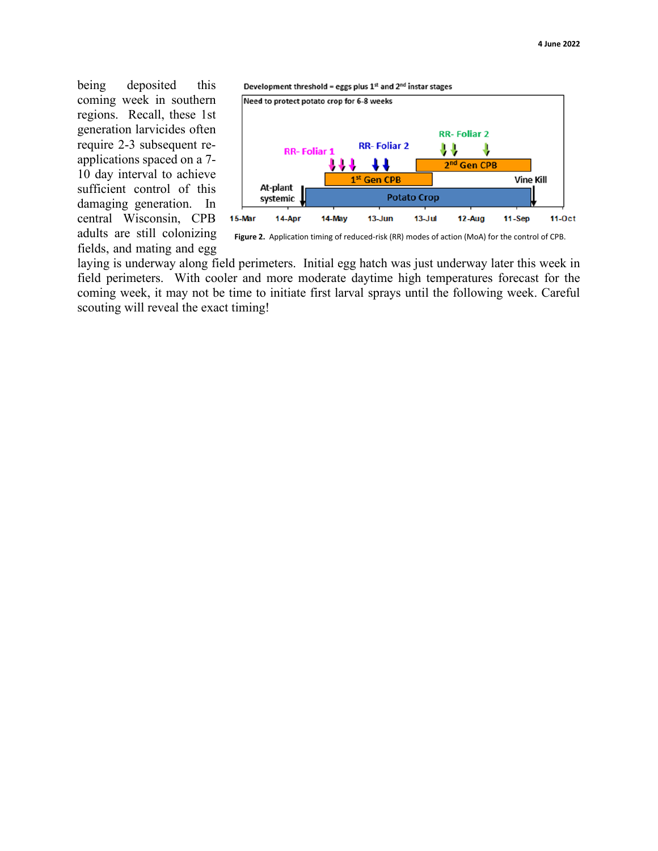being deposited this coming week in southern regions. Recall, these 1st generation larvicides often require 2-3 subsequent reapplications spaced on a 7- 10 day interval to achieve sufficient control of this damaging generation. In central Wisconsin, CPB adults are still colonizing fields, and mating and egg





**Figure 2.** Application timing of reduced-risk (RR) modes of action (MoA) for the control of CPB.

laying is underway along field perimeters. Initial egg hatch was just underway later this week in field perimeters. With cooler and more moderate daytime high temperatures forecast for the coming week, it may not be time to initiate first larval sprays until the following week. Careful scouting will reveal the exact timing!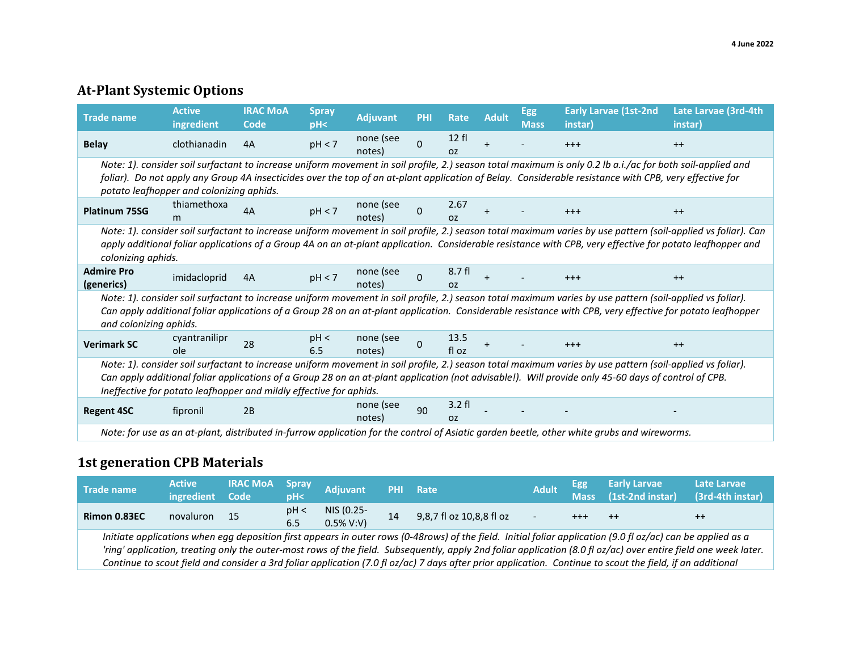# **At-Plant Systemic Options**

| <b>Trade name</b>                                                                                                                                                                                                                                                                                                                                                                      | <b>Active</b><br>ingredient | <b>IRAC MOA</b><br>Code | <b>Spray</b><br>pH< | <b>Adjuvant</b>     | <b>PHI</b>   | Rate                               | <b>Adult</b> | <b>Egg</b><br><b>Mass</b> | <b>Early Larvae (1st-2nd</b><br>(instar                                                                                                                                                                                                                                                                                | Late Larvae (3rd-4th<br>(instar |
|----------------------------------------------------------------------------------------------------------------------------------------------------------------------------------------------------------------------------------------------------------------------------------------------------------------------------------------------------------------------------------------|-----------------------------|-------------------------|---------------------|---------------------|--------------|------------------------------------|--------------|---------------------------|------------------------------------------------------------------------------------------------------------------------------------------------------------------------------------------------------------------------------------------------------------------------------------------------------------------------|---------------------------------|
| <b>Belay</b>                                                                                                                                                                                                                                                                                                                                                                           | clothianadin                | 4A                      | pH < 7              | none (see<br>notes) | $\Omega$     | 12f<br><b>OZ</b>                   |              |                           | $+++$                                                                                                                                                                                                                                                                                                                  | $++$                            |
| Note: 1). consider soil surfactant to increase uniform movement in soil profile, 2.) season total maximum is only 0.2 lb a.i./ac for both soil-applied and<br>foliar). Do not apply any Group 4A insecticides over the top of an at-plant application of Belay. Considerable resistance with CPB, very effective for<br>potato leafhopper and colonizing aphids.                       |                             |                         |                     |                     |              |                                    |              |                           |                                                                                                                                                                                                                                                                                                                        |                                 |
| <b>Platinum 75SG</b>                                                                                                                                                                                                                                                                                                                                                                   | thiamethoxa<br>m.           | 4A                      | pH < 7              | none (see<br>notes) | <sup>0</sup> | 2.67<br>0Z                         | $\ddot{}$    |                           | $+++$                                                                                                                                                                                                                                                                                                                  | $++$                            |
| Note: 1). consider soil surfactant to increase uniform movement in soil profile, 2.) season total maximum varies by use pattern (soil-applied vs foliar). Can<br>apply additional foliar applications of a Group 4A on an at-plant application. Considerable resistance with CPB, very effective for potato leafhopper and<br>colonizing aphids.                                       |                             |                         |                     |                     |              |                                    |              |                           |                                                                                                                                                                                                                                                                                                                        |                                 |
| <b>Admire Pro</b><br>(generics)                                                                                                                                                                                                                                                                                                                                                        | imidacloprid                | 4A                      | pH < 7              | none (see<br>notes) | $\Omega$     | 8.7 fl<br>OZ.                      |              |                           | $+++$                                                                                                                                                                                                                                                                                                                  | $++$                            |
| and colonizing aphids.                                                                                                                                                                                                                                                                                                                                                                 |                             |                         |                     |                     |              |                                    |              |                           | Note: 1). consider soil surfactant to increase uniform movement in soil profile, 2.) season total maximum varies by use pattern (soil-applied vs foliar).<br>Can apply additional foliar applications of a Group 28 on an at-plant application. Considerable resistance with CPB, very effective for potato leafhopper |                                 |
| <b>Verimark SC</b>                                                                                                                                                                                                                                                                                                                                                                     | cyantranilipr<br>ole        | 28                      | pH <<br>6.5         | none (see<br>notes) | 0            | 13.5<br>fl oz                      |              |                           | $+++$                                                                                                                                                                                                                                                                                                                  | $++$                            |
| Note: 1). consider soil surfactant to increase uniform movement in soil profile, 2.) season total maximum varies by use pattern (soil-applied vs foliar).<br>Can apply additional foliar applications of a Group 28 on an at-plant application (not advisable!). Will provide only 45-60 days of control of CPB.<br>Ineffective for potato leafhopper and mildly effective for aphids. |                             |                         |                     |                     |              |                                    |              |                           |                                                                                                                                                                                                                                                                                                                        |                                 |
| <b>Regent 4SC</b>                                                                                                                                                                                                                                                                                                                                                                      | fipronil                    | 2B                      |                     | none (see<br>notes) | 90           | $3.2 \text{ fl}$<br>O <sub>Z</sub> |              |                           |                                                                                                                                                                                                                                                                                                                        |                                 |
|                                                                                                                                                                                                                                                                                                                                                                                        |                             |                         |                     |                     |              |                                    |              |                           | Note: for use as an at-plant, distributed in-furrow application for the control of Asiatic garden beetle, other white grubs and wireworms.                                                                                                                                                                             |                                 |

### **1st generation CPB Materials**

| Trade name                                                                                                                                                                                                                                                                                                                                                                                                                                                                                    | <b>Active</b><br>ingredient | <b>IRAC MOA</b><br>Code | Spray<br>pH< | <b>Adjuvant</b>            | <b>PHI</b> | Rate                     | Adult | Egg<br><b>Mass</b> | <b>Early Larvae</b><br>$(1st-2nd instar)$ | Late Larvae<br>(3rd-4th instar) |
|-----------------------------------------------------------------------------------------------------------------------------------------------------------------------------------------------------------------------------------------------------------------------------------------------------------------------------------------------------------------------------------------------------------------------------------------------------------------------------------------------|-----------------------------|-------------------------|--------------|----------------------------|------------|--------------------------|-------|--------------------|-------------------------------------------|---------------------------------|
| Rimon 0.83EC                                                                                                                                                                                                                                                                                                                                                                                                                                                                                  | novaluron                   | - 15                    | pH <<br>6.5  | NIS (0.25-<br>$0.5\%$ V:V) | 14         | 9,8,7 fl oz 10,8,8 fl oz |       |                    | $++$                                      | $^{++}$                         |
| Initiate applications when egg deposition first appears in outer rows (0-48rows) of the field. Initial foliar application (9.0 fl oz/ac) can be applied as a<br>'ring' application, treating only the outer-most rows of the field. Subsequently, apply 2nd foliar application (8.0 fl oz/ac) over entire field one week later.<br>Continue to scout field and consider a 3rd foliar application (7.0 fl oz/ac) 7 days after prior application. Continue to scout the field, if an additional |                             |                         |              |                            |            |                          |       |                    |                                           |                                 |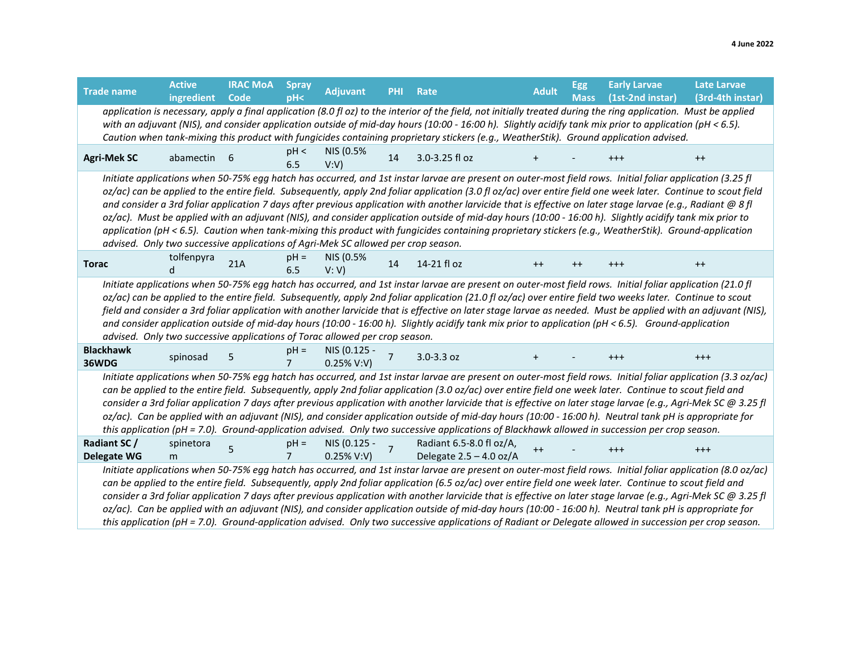| <b>Trade name</b>                                                                                                                                                                                                                                                                                                                                                                                                                                                                                                                                                                                                                                                                                                                                                                                                                                                                                    | <b>Active</b><br>ingredient                                                                                                                                                                                                                                                                                                                                                                                                                                                                                                                                                                                                                                                                                                                                                                                                                   | <b>IRAC MOA</b><br>Code | <b>Spray</b><br>pH< | <b>Adjuvant</b>               | PHI | Rate                                                                                                                                                                                                                                                                                              | <b>Adult</b> | Egg<br><b>Mass</b> | <b>Early Larvae</b><br>(1st-2nd instar) | <b>Late Larvae</b><br>(3rd-4th instar) |  |
|------------------------------------------------------------------------------------------------------------------------------------------------------------------------------------------------------------------------------------------------------------------------------------------------------------------------------------------------------------------------------------------------------------------------------------------------------------------------------------------------------------------------------------------------------------------------------------------------------------------------------------------------------------------------------------------------------------------------------------------------------------------------------------------------------------------------------------------------------------------------------------------------------|-----------------------------------------------------------------------------------------------------------------------------------------------------------------------------------------------------------------------------------------------------------------------------------------------------------------------------------------------------------------------------------------------------------------------------------------------------------------------------------------------------------------------------------------------------------------------------------------------------------------------------------------------------------------------------------------------------------------------------------------------------------------------------------------------------------------------------------------------|-------------------------|---------------------|-------------------------------|-----|---------------------------------------------------------------------------------------------------------------------------------------------------------------------------------------------------------------------------------------------------------------------------------------------------|--------------|--------------------|-----------------------------------------|----------------------------------------|--|
|                                                                                                                                                                                                                                                                                                                                                                                                                                                                                                                                                                                                                                                                                                                                                                                                                                                                                                      |                                                                                                                                                                                                                                                                                                                                                                                                                                                                                                                                                                                                                                                                                                                                                                                                                                               |                         |                     |                               |     | application is necessary, apply a final application (8.0 fl oz) to the interior of the field, not initially treated during the ring application. Must be applied                                                                                                                                  |              |                    |                                         |                                        |  |
|                                                                                                                                                                                                                                                                                                                                                                                                                                                                                                                                                                                                                                                                                                                                                                                                                                                                                                      |                                                                                                                                                                                                                                                                                                                                                                                                                                                                                                                                                                                                                                                                                                                                                                                                                                               |                         |                     |                               |     | with an adjuvant (NIS), and consider application outside of mid-day hours (10:00 - 16:00 h). Slightly acidify tank mix prior to application (pH < 6.5).<br>Caution when tank-mixing this product with fungicides containing proprietary stickers (e.g., WeatherStik). Ground application advised. |              |                    |                                         |                                        |  |
| <b>Agri-Mek SC</b>                                                                                                                                                                                                                                                                                                                                                                                                                                                                                                                                                                                                                                                                                                                                                                                                                                                                                   | abamectin 6                                                                                                                                                                                                                                                                                                                                                                                                                                                                                                                                                                                                                                                                                                                                                                                                                                   |                         | pH <<br>6.5         | NIS (0.5%<br>V:V)             | 14  | 3.0-3.25 fl oz                                                                                                                                                                                                                                                                                    |              |                    | $^{+++}$                                | $^{++}$                                |  |
| Initiate applications when 50-75% egg hatch has occurred, and 1st instar larvae are present on outer-most field rows. Initial foliar application (3.25 fl<br>oz/ac) can be applied to the entire field. Subsequently, apply 2nd foliar application (3.0 fl oz/ac) over entire field one week later. Continue to scout field<br>and consider a 3rd foliar application 7 days after previous application with another larvicide that is effective on later stage larvae (e.g., Radiant @ 8 fl<br>oz/ac). Must be applied with an adjuvant (NIS), and consider application outside of mid-day hours (10:00 - 16:00 h). Slightly acidify tank mix prior to<br>application (pH < 6.5). Caution when tank-mixing this product with fungicides containing proprietary stickers (e.g., WeatherStik). Ground-application<br>advised. Only two successive applications of Agri-Mek SC allowed per crop season. |                                                                                                                                                                                                                                                                                                                                                                                                                                                                                                                                                                                                                                                                                                                                                                                                                                               |                         |                     |                               |     |                                                                                                                                                                                                                                                                                                   |              |                    |                                         |                                        |  |
| <b>Torac</b>                                                                                                                                                                                                                                                                                                                                                                                                                                                                                                                                                                                                                                                                                                                                                                                                                                                                                         | tolfenpyra                                                                                                                                                                                                                                                                                                                                                                                                                                                                                                                                                                                                                                                                                                                                                                                                                                    | 21A                     | $pH =$<br>6.5       | NIS (0.5%<br>V: V             | 14  | 14-21 fl oz                                                                                                                                                                                                                                                                                       | $++$         | $++$               | $^{+++}$                                | $^{++}$                                |  |
|                                                                                                                                                                                                                                                                                                                                                                                                                                                                                                                                                                                                                                                                                                                                                                                                                                                                                                      | Initiate applications when 50-75% egg hatch has occurred, and 1st instar larvae are present on outer-most field rows. Initial foliar application (21.0 fl<br>oz/ac) can be applied to the entire field. Subsequently, apply 2nd foliar application (21.0 fl oz/ac) over entire field two weeks later. Continue to scout<br>field and consider a 3rd foliar application with another larvicide that is effective on later stage larvae as needed. Must be applied with an adjuvant (NIS),<br>and consider application outside of mid-day hours (10:00 - 16:00 h). Slightly acidify tank mix prior to application (pH < 6.5). Ground-application<br>advised. Only two successive applications of Torac allowed per crop season.                                                                                                                 |                         |                     |                               |     |                                                                                                                                                                                                                                                                                                   |              |                    |                                         |                                        |  |
| <b>Blackhawk</b><br>36WDG                                                                                                                                                                                                                                                                                                                                                                                                                                                                                                                                                                                                                                                                                                                                                                                                                                                                            | spinosad                                                                                                                                                                                                                                                                                                                                                                                                                                                                                                                                                                                                                                                                                                                                                                                                                                      | 5                       | $pH =$              | NIS (0.125 -<br>$0.25\%$ V:V) | 7   | $3.0 - 3.3$ oz                                                                                                                                                                                                                                                                                    | $\ddot{}$    |                    | $^{+++}$                                | $^{++}$                                |  |
|                                                                                                                                                                                                                                                                                                                                                                                                                                                                                                                                                                                                                                                                                                                                                                                                                                                                                                      | Initiate applications when 50-75% egg hatch has occurred, and 1st instar larvae are present on outer-most field rows. Initial foliar application (3.3 oz/ac)<br>can be applied to the entire field. Subsequently, apply 2nd foliar application (3.0 oz/ac) over entire field one week later. Continue to scout field and<br>consider a 3rd foliar application 7 days after previous application with another larvicide that is effective on later stage larvae (e.g., Agri-Mek SC @ 3.25 fl<br>oz/ac). Can be applied with an adjuvant (NIS), and consider application outside of mid-day hours (10:00 - 16:00 h). Neutral tank pH is appropriate for<br>this application (pH = 7.0). Ground-application advised. Only two successive applications of Blackhawk allowed in succession per crop season.                                        |                         |                     |                               |     |                                                                                                                                                                                                                                                                                                   |              |                    |                                         |                                        |  |
| Radiant SC /<br><b>Delegate WG</b>                                                                                                                                                                                                                                                                                                                                                                                                                                                                                                                                                                                                                                                                                                                                                                                                                                                                   | spinetora<br>m                                                                                                                                                                                                                                                                                                                                                                                                                                                                                                                                                                                                                                                                                                                                                                                                                                |                         | $pH =$<br>7         | NIS (0.125 -<br>$0.25\%$ V:V) |     | Radiant 6.5-8.0 fl oz/A,                                                                                                                                                                                                                                                                          | $^{++}$      |                    | $^{+++}$                                | $^{+++}$                               |  |
|                                                                                                                                                                                                                                                                                                                                                                                                                                                                                                                                                                                                                                                                                                                                                                                                                                                                                                      | Delegate $2.5 - 4.0$ oz/A<br>Initiate applications when 50-75% egg hatch has occurred, and 1st instar larvae are present on outer-most field rows. Initial foliar application (8.0 oz/ac)<br>can be applied to the entire field. Subsequently, apply 2nd foliar application (6.5 oz/ac) over entire field one week later. Continue to scout field and<br>consider a 3rd foliar application 7 days after previous application with another larvicide that is effective on later stage larvae (e.g., Agri-Mek SC @ 3.25 fl<br>oz/ac). Can be applied with an adjuvant (NIS), and consider application outside of mid-day hours (10:00 - 16:00 h). Neutral tank pH is appropriate for<br>this application (pH = 7.0). Ground-application advised. Only two successive applications of Radiant or Delegate allowed in succession per crop season. |                         |                     |                               |     |                                                                                                                                                                                                                                                                                                   |              |                    |                                         |                                        |  |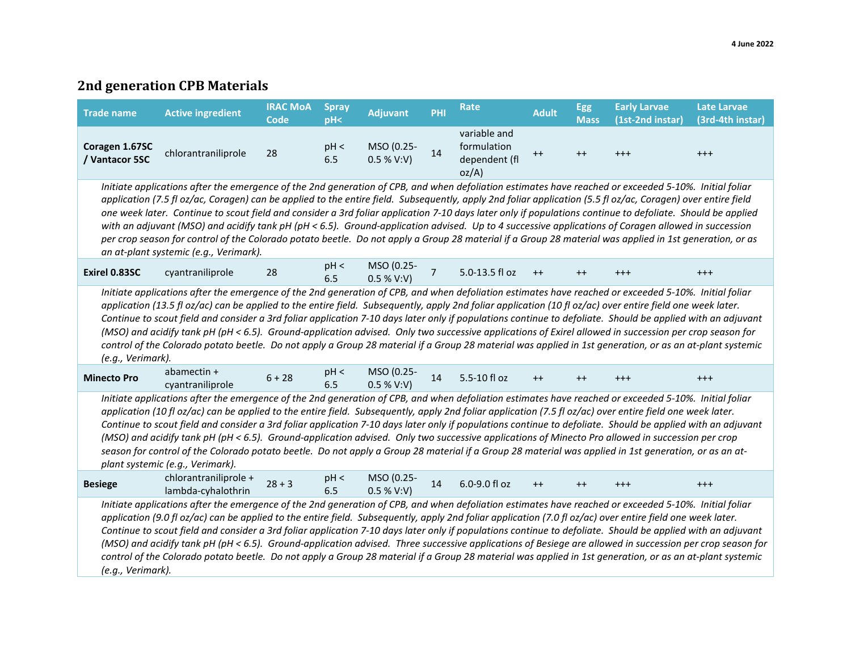# **2nd generation CPB Materials**

| <b>Trade name</b>                                                                                                                                                                                                                                                                                                                                                                                                                                                                                                                                                                                                                                                                                                                                                                                                                               | <b>Active ingredient</b>                                                                                                                                                                                                                                                                                                                                                                                                                                                                                                                                                                                                                                                                                                                                                                                                           | <b>IRAC MoA</b><br><b>Code</b> | <b>Spray</b><br>pH <sub>2</sub> | <b>Adjuvant</b>          | PHI            | Rate                                                 | <b>Adult</b> | <b>Egg</b><br><b>Mass</b> | <b>Early Larvae</b><br>(1st-2nd instar) | <b>Late Larvae</b><br>(3rd-4th instar) |  |
|-------------------------------------------------------------------------------------------------------------------------------------------------------------------------------------------------------------------------------------------------------------------------------------------------------------------------------------------------------------------------------------------------------------------------------------------------------------------------------------------------------------------------------------------------------------------------------------------------------------------------------------------------------------------------------------------------------------------------------------------------------------------------------------------------------------------------------------------------|------------------------------------------------------------------------------------------------------------------------------------------------------------------------------------------------------------------------------------------------------------------------------------------------------------------------------------------------------------------------------------------------------------------------------------------------------------------------------------------------------------------------------------------------------------------------------------------------------------------------------------------------------------------------------------------------------------------------------------------------------------------------------------------------------------------------------------|--------------------------------|---------------------------------|--------------------------|----------------|------------------------------------------------------|--------------|---------------------------|-----------------------------------------|----------------------------------------|--|
| Coragen 1.67SC<br>/ Vantacor 5SC                                                                                                                                                                                                                                                                                                                                                                                                                                                                                                                                                                                                                                                                                                                                                                                                                | chlorantraniliprole                                                                                                                                                                                                                                                                                                                                                                                                                                                                                                                                                                                                                                                                                                                                                                                                                | 28                             | pH <<br>6.5                     | MSO (0.25-<br>0.5 % V:V) | 14             | variable and<br>formulation<br>dependent (fl<br>oz/A | $++$         | $++$                      | $^{++}$                                 | $^{+++}$                               |  |
| Initiate applications after the emergence of the 2nd generation of CPB, and when defoliation estimates have reached or exceeded 5-10%. Initial foliar<br>application (7.5 fl oz/ac, Coragen) can be applied to the entire field. Subsequently, apply 2nd foliar application (5.5 fl oz/ac, Coragen) over entire field<br>one week later. Continue to scout field and consider a 3rd foliar application 7-10 days later only if populations continue to defoliate. Should be applied<br>with an adjuvant (MSO) and acidify tank pH (pH < 6.5). Ground-application advised. Up to 4 successive applications of Coragen allowed in succession<br>per crop season for control of the Colorado potato beetle. Do not apply a Group 28 material if a Group 28 material was applied in 1st generation, or as<br>an at-plant systemic (e.g., Verimark). |                                                                                                                                                                                                                                                                                                                                                                                                                                                                                                                                                                                                                                                                                                                                                                                                                                    |                                |                                 |                          |                |                                                      |              |                           |                                         |                                        |  |
| Exirel 0.83SC                                                                                                                                                                                                                                                                                                                                                                                                                                                                                                                                                                                                                                                                                                                                                                                                                                   | cyantraniliprole                                                                                                                                                                                                                                                                                                                                                                                                                                                                                                                                                                                                                                                                                                                                                                                                                   | 28                             | pH <<br>6.5                     | MSO (0.25-<br>0.5 % V:V) | $\overline{7}$ | 5.0-13.5 fl oz                                       | $++$         | $++$                      | $+ + +$                                 | $^{+++}$                               |  |
| (e.g., Verimark).                                                                                                                                                                                                                                                                                                                                                                                                                                                                                                                                                                                                                                                                                                                                                                                                                               | Initiate applications after the emergence of the 2nd generation of CPB, and when defoliation estimates have reached or exceeded 5-10%. Initial foliar<br>application (13.5 fl oz/ac) can be applied to the entire field. Subsequently, apply 2nd foliar application (10 fl oz/ac) over entire field one week later.<br>Continue to scout field and consider a 3rd foliar application 7-10 days later only if populations continue to defoliate. Should be applied with an adjuvant<br>(MSO) and acidify tank pH (pH < 6.5). Ground-application advised. Only two successive applications of Exirel allowed in succession per crop season for<br>control of the Colorado potato beetle. Do not apply a Group 28 material if a Group 28 material was applied in 1st generation, or as an at-plant systemic                           |                                |                                 |                          |                |                                                      |              |                           |                                         |                                        |  |
| <b>Minecto Pro</b>                                                                                                                                                                                                                                                                                                                                                                                                                                                                                                                                                                                                                                                                                                                                                                                                                              | abamectin +<br>cyantraniliprole                                                                                                                                                                                                                                                                                                                                                                                                                                                                                                                                                                                                                                                                                                                                                                                                    | $6 + 28$                       | pH <<br>6.5                     | MSO (0.25-<br>0.5 % V:V) | 14             | 5.5-10 fl oz                                         | $++$         | $++$                      | $^{+++}$                                | $^{+++}$                               |  |
|                                                                                                                                                                                                                                                                                                                                                                                                                                                                                                                                                                                                                                                                                                                                                                                                                                                 | Initiate applications after the emergence of the 2nd generation of CPB, and when defoliation estimates have reached or exceeded 5-10%. Initial foliar<br>application (10 fl oz/ac) can be applied to the entire field. Subsequently, apply 2nd foliar application (7.5 fl oz/ac) over entire field one week later.<br>Continue to scout field and consider a 3rd foliar application 7-10 days later only if populations continue to defoliate. Should be applied with an adjuvant<br>(MSO) and acidify tank pH (pH < 6.5). Ground-application advised. Only two successive applications of Minecto Pro allowed in succession per crop<br>season for control of the Colorado potato beetle. Do not apply a Group 28 material if a Group 28 material was applied in 1st generation, or as an at-<br>plant systemic (e.g., Verimark). |                                |                                 |                          |                |                                                      |              |                           |                                         |                                        |  |
| <b>Besiege</b>                                                                                                                                                                                                                                                                                                                                                                                                                                                                                                                                                                                                                                                                                                                                                                                                                                  | chlorantraniliprole +<br>lambda-cyhalothrin                                                                                                                                                                                                                                                                                                                                                                                                                                                                                                                                                                                                                                                                                                                                                                                        | $28 + 3$                       | pH <<br>6.5                     | MSO (0.25-<br>0.5 % V:V) | 14             | 6.0-9.0 fl oz                                        | $++$         | $++$                      | $^{++}$                                 | $^{+++}$                               |  |
| (e.g., Verimark).                                                                                                                                                                                                                                                                                                                                                                                                                                                                                                                                                                                                                                                                                                                                                                                                                               | Initiate applications after the emergence of the 2nd generation of CPB, and when defoliation estimates have reached or exceeded 5-10%. Initial foliar<br>application (9.0 fl oz/ac) can be applied to the entire field. Subsequently, apply 2nd foliar application (7.0 fl oz/ac) over entire field one week later.<br>Continue to scout field and consider a 3rd foliar application 7-10 days later only if populations continue to defoliate. Should be applied with an adjuvant<br>(MSO) and acidify tank pH (pH < 6.5). Ground-application advised. Three successive applications of Besiege are allowed in succession per crop season for<br>control of the Colorado potato beetle. Do not apply a Group 28 material if a Group 28 material was applied in 1st generation, or as an at-plant systemic                         |                                |                                 |                          |                |                                                      |              |                           |                                         |                                        |  |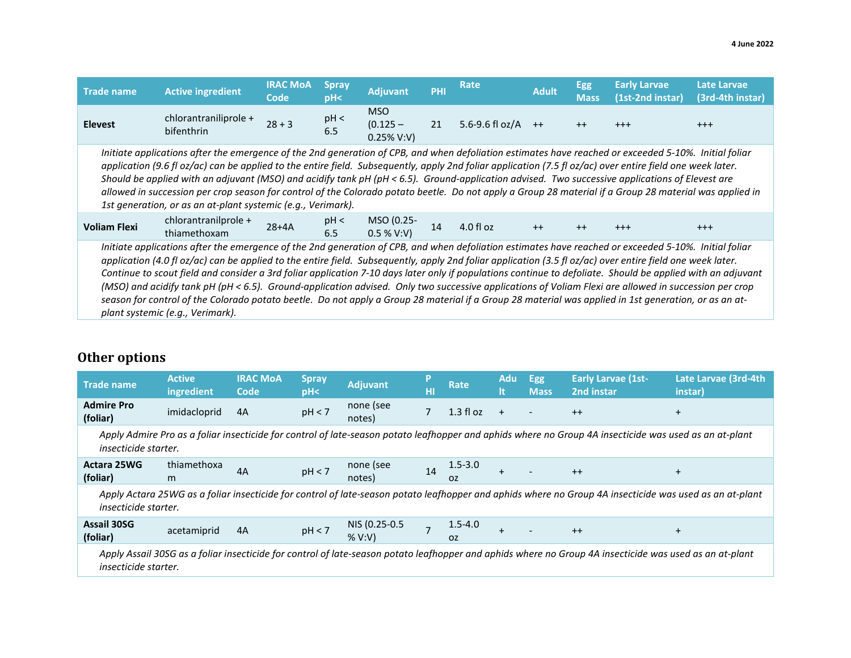| <b>Trade name</b>                                                                                                                                                                                                                                                                                                                                                                                                                                                                                                                                                                                                                                                                                 | <b>Active ingredient</b>                                                                                                                                                                                                                                                                                                                                                                                                                                                                                                                                                                                                                                                                                                                                                                                                                 | <b>IRAC MOA</b><br>Code | <b>Spray</b><br>PH< | <b>Adjuvant</b>                    | PHI | Rate                 | <b>Adult</b> | Egg<br><b>Mass</b> | <b>Early Larvae</b><br>(1st-2nd instar) | Late Larvae<br>(3rd-4th instar) |
|---------------------------------------------------------------------------------------------------------------------------------------------------------------------------------------------------------------------------------------------------------------------------------------------------------------------------------------------------------------------------------------------------------------------------------------------------------------------------------------------------------------------------------------------------------------------------------------------------------------------------------------------------------------------------------------------------|------------------------------------------------------------------------------------------------------------------------------------------------------------------------------------------------------------------------------------------------------------------------------------------------------------------------------------------------------------------------------------------------------------------------------------------------------------------------------------------------------------------------------------------------------------------------------------------------------------------------------------------------------------------------------------------------------------------------------------------------------------------------------------------------------------------------------------------|-------------------------|---------------------|------------------------------------|-----|----------------------|--------------|--------------------|-----------------------------------------|---------------------------------|
| <b>Elevest</b>                                                                                                                                                                                                                                                                                                                                                                                                                                                                                                                                                                                                                                                                                    | chlorantraniliprole +<br>bifenthrin                                                                                                                                                                                                                                                                                                                                                                                                                                                                                                                                                                                                                                                                                                                                                                                                      | $28 + 3$                | pH <<br>6.5         | MSO<br>$(0.125 -$<br>$0.25\%$ V:V) | 21  | 5.6-9.6 fl oz/A $++$ |              | $++$               | $^{+++}$                                | $^{+++}$                        |
| Initiate applications after the emergence of the 2nd generation of CPB, and when defoliation estimates have reached or exceeded 5-10%. Initial foliar<br>application (9.6 fl oz/ac) can be applied to the entire field. Subsequently, apply 2nd foliar application (7.5 fl oz/ac) over entire field one week later.<br>Should be applied with an adjuvant (MSO) and acidify tank pH (pH < 6.5). Ground-application advised. Two successive applications of Elevest are<br>allowed in succession per crop season for control of the Colorado potato beetle. Do not apply a Group 28 material if a Group 28 material was applied in<br>1st generation, or as an at-plant systemic (e.g., Verimark). |                                                                                                                                                                                                                                                                                                                                                                                                                                                                                                                                                                                                                                                                                                                                                                                                                                          |                         |                     |                                    |     |                      |              |                    |                                         |                                 |
| <b>Voliam Flexi</b>                                                                                                                                                                                                                                                                                                                                                                                                                                                                                                                                                                                                                                                                               | chlorantranilprole +<br>thiamethoxam                                                                                                                                                                                                                                                                                                                                                                                                                                                                                                                                                                                                                                                                                                                                                                                                     | $28+4A$                 | pH <<br>6.5         | MSO (0.25-<br>0.5 % V:V)           | 14  | $4.0$ fl oz          | $++$         | $++$               | $+++$                                   | $+ + +$                         |
|                                                                                                                                                                                                                                                                                                                                                                                                                                                                                                                                                                                                                                                                                                   | Initiate applications after the emergence of the 2nd generation of CPB, and when defoliation estimates have reached or exceeded 5-10%. Initial foliar<br>application (4.0 fl oz/ac) can be applied to the entire field. Subsequently, apply 2nd foliar application (3.5 fl oz/ac) over entire field one week later.<br>Continue to scout field and consider a 3rd foliar application 7-10 days later only if populations continue to defoliate. Should be applied with an adjuvant<br>(MSO) and acidify tank pH (pH < 6.5). Ground-application advised. Only two successive applications of Voliam Flexi are allowed in succession per crop<br>season for control of the Colorado potato beetle. Do not apply a Group 28 material if a Group 28 material was applied in 1st generation, or as an at-<br>plant systemic (e.g., Verimark). |                         |                     |                                    |     |                      |              |                    |                                         |                                 |

# **Other options**

| <b>Trade name</b>                                                                                                                                                               | <b>Active</b><br>ingredient                                                                                                                                                     | <b>IRAC MOA</b><br>Code | <b>Spray</b><br>pH< | <b>Adjuvant</b>        | HT | Rate                     | Adu<br>It      | <b>Egg</b><br><b>Mass</b> | <b>Early Larvae (1st-</b><br>2nd instar | Late Larvae (3rd-4th<br>instar) |
|---------------------------------------------------------------------------------------------------------------------------------------------------------------------------------|---------------------------------------------------------------------------------------------------------------------------------------------------------------------------------|-------------------------|---------------------|------------------------|----|--------------------------|----------------|---------------------------|-----------------------------------------|---------------------------------|
| <b>Admire Pro</b><br>(foliar)                                                                                                                                                   | imidacloprid                                                                                                                                                                    | 4A                      | pH < 7              | none (see<br>notes)    |    | $1.3 \text{ fl}$ oz      | $+$            |                           | $++$                                    | $\ddot{}$                       |
| Apply Admire Pro as a foliar insecticide for control of late-season potato leafhopper and aphids where no Group 4A insecticide was used as an at-plant<br>insecticide starter.  |                                                                                                                                                                                 |                         |                     |                        |    |                          |                |                           |                                         |                                 |
| <b>Actara 25WG</b><br>(foliar)                                                                                                                                                  | thiamethoxa<br>m                                                                                                                                                                | 4A                      | pH < 7              | none (see<br>notes)    | 14 | $1.5 - 3.0$<br><b>OZ</b> | $\overline{+}$ |                           | $++$                                    | $+$                             |
|                                                                                                                                                                                 | Apply Actara 25WG as a foliar insecticide for control of late-season potato leafhopper and aphids where no Group 4A insecticide was used as an at-plant<br>insecticide starter. |                         |                     |                        |    |                          |                |                           |                                         |                                 |
| <b>Assail 30SG</b><br>(foliar)                                                                                                                                                  | acetamiprid                                                                                                                                                                     | 4A                      | pH < 7              | NIS (0.25-0.5<br>% V:V |    | $1.5 - 4.0$<br>0Z        |                |                           | $++$                                    | $+$                             |
| Apply Assail 30SG as a foliar insecticide for control of late-season potato leafhopper and aphids where no Group 4A insecticide was used as an at-plant<br>insecticide starter. |                                                                                                                                                                                 |                         |                     |                        |    |                          |                |                           |                                         |                                 |